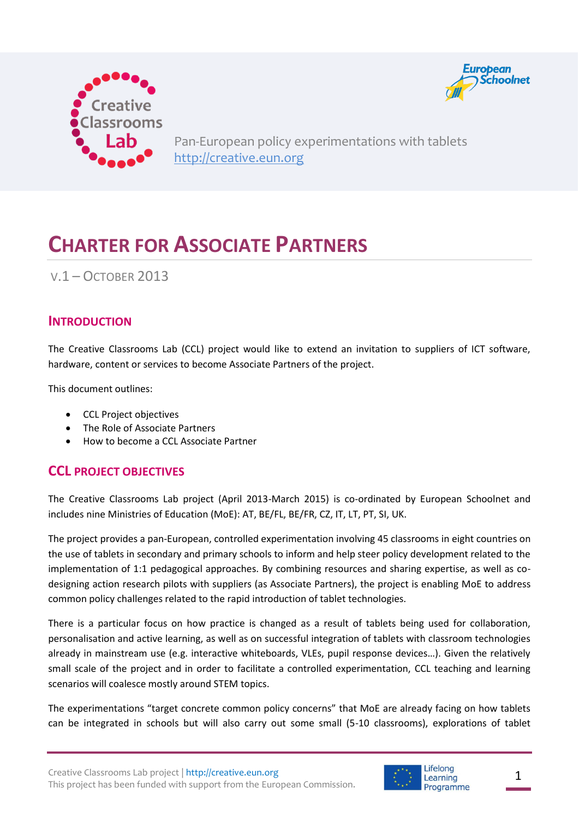



Pan-European policy experimentations with tablets [http://creative.eun.org](http://creative.eun.org/)

# **CHARTER FOR ASSOCIATE PARTNERS**

V.1 – OCTOBER 2013

#### **INTRODUCTION**

The Creative Classrooms Lab (CCL) project would like to extend an invitation to suppliers of ICT software, hardware, content or services to become Associate Partners of the project.

This document outlines:

- CCL Project objectives
- The Role of Associate Partners
- How to become a CCL Associate Partner

#### **CCL PROJECT OBJECTIVES**

The Creative Classrooms Lab project (April 2013-March 2015) is co-ordinated by European Schoolnet and includes nine Ministries of Education (MoE): AT, BE/FL, BE/FR, CZ, IT, LT, PT, SI, UK.

The project provides a pan-European, controlled experimentation involving 45 classrooms in eight countries on the use of tablets in secondary and primary schools to inform and help steer policy development related to the implementation of 1:1 pedagogical approaches. By combining resources and sharing expertise, as well as codesigning action research pilots with suppliers (as Associate Partners), the project is enabling MoE to address common policy challenges related to the rapid introduction of tablet technologies.

There is a particular focus on how practice is changed as a result of tablets being used for collaboration, personalisation and active learning, as well as on successful integration of tablets with classroom technologies already in mainstream use (e.g. interactive whiteboards, VLEs, pupil response devices…). Given the relatively small scale of the project and in order to facilitate a controlled experimentation, CCL teaching and learning scenarios will coalesce mostly around STEM topics.

The experimentations "target concrete common policy concerns" that MoE are already facing on how tablets can be integrated in schools but will also carry out some small (5-10 classrooms), explorations of tablet

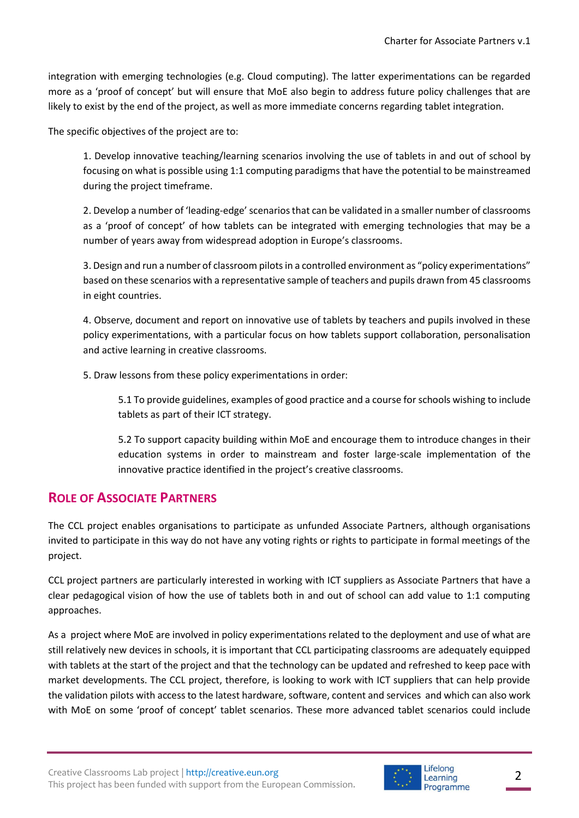integration with emerging technologies (e.g. Cloud computing). The latter experimentations can be regarded more as a 'proof of concept' but will ensure that MoE also begin to address future policy challenges that are likely to exist by the end of the project, as well as more immediate concerns regarding tablet integration.

The specific objectives of the project are to:

1. Develop innovative teaching/learning scenarios involving the use of tablets in and out of school by focusing on what is possible using 1:1 computing paradigms that have the potential to be mainstreamed during the project timeframe.

2. Develop a number of 'leading-edge' scenarios that can be validated in a smaller number of classrooms as a 'proof of concept' of how tablets can be integrated with emerging technologies that may be a number of years away from widespread adoption in Europe's classrooms.

3. Design and run a number of classroom pilots in a controlled environment as "policy experimentations" based on these scenarios with a representative sample of teachers and pupils drawn from 45 classrooms in eight countries.

4. Observe, document and report on innovative use of tablets by teachers and pupils involved in these policy experimentations, with a particular focus on how tablets support collaboration, personalisation and active learning in creative classrooms.

5. Draw lessons from these policy experimentations in order:

5.1 To provide guidelines, examples of good practice and a course for schools wishing to include tablets as part of their ICT strategy.

5.2 To support capacity building within MoE and encourage them to introduce changes in their education systems in order to mainstream and foster large-scale implementation of the innovative practice identified in the project's creative classrooms.

## **ROLE OF ASSOCIATE PARTNERS**

The CCL project enables organisations to participate as unfunded Associate Partners, although organisations invited to participate in this way do not have any voting rights or rights to participate in formal meetings of the project.

CCL project partners are particularly interested in working with ICT suppliers as Associate Partners that have a clear pedagogical vision of how the use of tablets both in and out of school can add value to 1:1 computing approaches.

As a project where MoE are involved in policy experimentations related to the deployment and use of what are still relatively new devices in schools, it is important that CCL participating classrooms are adequately equipped with tablets at the start of the project and that the technology can be updated and refreshed to keep pace with market developments. The CCL project, therefore, is looking to work with ICT suppliers that can help provide the validation pilots with access to the latest hardware, software, content and services and which can also work with MoE on some 'proof of concept' tablet scenarios. These more advanced tablet scenarios could include

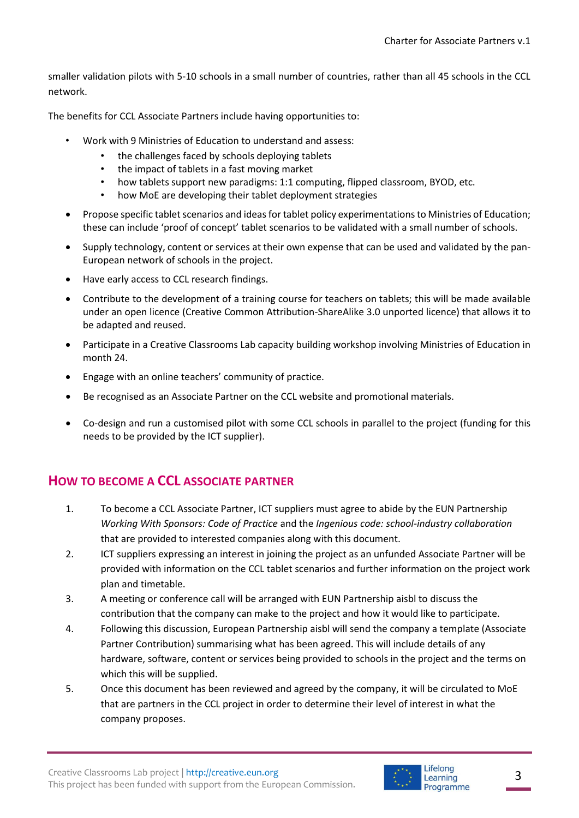smaller validation pilots with 5-10 schools in a small number of countries, rather than all 45 schools in the CCL network.

The benefits for CCL Associate Partners include having opportunities to:

- Work with 9 Ministries of Education to understand and assess:
	- the challenges faced by schools deploying tablets
	- the impact of tablets in a fast moving market
	- how tablets support new paradigms: 1:1 computing, flipped classroom, BYOD, etc.
	- how MoE are developing their tablet deployment strategies
- Propose specific tablet scenarios and ideas for tablet policy experimentations to Ministries of Education; these can include 'proof of concept' tablet scenarios to be validated with a small number of schools.
- Supply technology, content or services at their own expense that can be used and validated by the pan-European network of schools in the project.
- Have early access to CCL research findings.
- Contribute to the development of a training course for teachers on tablets; this will be made available under an open licence (Creative Common Attribution-ShareAlike 3.0 unported licence) that allows it to be adapted and reused.
- Participate in a Creative Classrooms Lab capacity building workshop involving Ministries of Education in month 24.
- Engage with an online teachers' community of practice.
- Be recognised as an Associate Partner on the CCL website and promotional materials.
- Co-design and run a customised pilot with some CCL schools in parallel to the project (funding for this needs to be provided by the ICT supplier).

## **HOW TO BECOME A CCL ASSOCIATE PARTNER**

- 1. To become a CCL Associate Partner, ICT suppliers must agree to abide by the EUN Partnership *Working With Sponsors: Code of Practice* and the *Ingenious code: school-industry collaboration* that are provided to interested companies along with this document.
- 2. ICT suppliers expressing an interest in joining the project as an unfunded Associate Partner will be provided with information on the CCL tablet scenarios and further information on the project work plan and timetable.
- 3. A meeting or conference call will be arranged with EUN Partnership aisbl to discuss the contribution that the company can make to the project and how it would like to participate.
- 4. Following this discussion, European Partnership aisbl will send the company a template (Associate Partner Contribution) summarising what has been agreed. This will include details of any hardware, software, content or services being provided to schools in the project and the terms on which this will be supplied.
- 5. Once this document has been reviewed and agreed by the company, it will be circulated to MoE that are partners in the CCL project in order to determine their level of interest in what the company proposes.